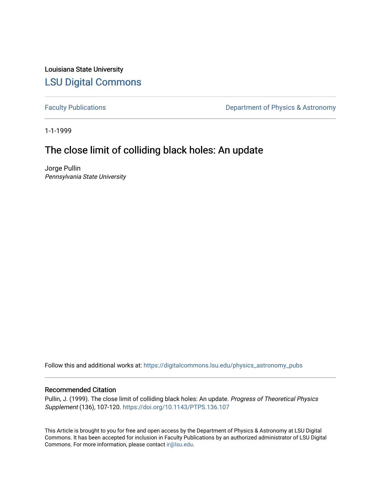Louisiana State University [LSU Digital Commons](https://digitalcommons.lsu.edu/)

[Faculty Publications](https://digitalcommons.lsu.edu/physics_astronomy_pubs) **Exercise 2 and Table 2 and Table 2 and Table 2 and Table 2 and Table 2 and Table 2 and Table 2 and Table 2 and Table 2 and Table 2 and Table 2 and Table 2 and Table 2 and Table 2 and Table 2 and Table** 

1-1-1999

# The close limit of colliding black holes: An update

Jorge Pullin Pennsylvania State University

Follow this and additional works at: [https://digitalcommons.lsu.edu/physics\\_astronomy\\_pubs](https://digitalcommons.lsu.edu/physics_astronomy_pubs?utm_source=digitalcommons.lsu.edu%2Fphysics_astronomy_pubs%2F4421&utm_medium=PDF&utm_campaign=PDFCoverPages) 

## Recommended Citation

Pullin, J. (1999). The close limit of colliding black holes: An update. Progress of Theoretical Physics Supplement (136), 107-120.<https://doi.org/10.1143/PTPS.136.107>

This Article is brought to you for free and open access by the Department of Physics & Astronomy at LSU Digital Commons. It has been accepted for inclusion in Faculty Publications by an authorized administrator of LSU Digital Commons. For more information, please contact [ir@lsu.edu](mailto:ir@lsu.edu).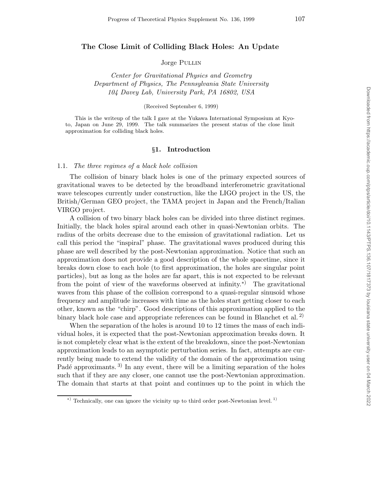## **The Close Limit of Colliding Black Holes: An Update**

## Jorge PULLIN

*Center for Gravitational Physics and Geometry Department of Physics, The Pennsylvania State University 104 Davey Lab, University Park, PA 16802, USA*

#### (Received September 6, 1999)

This is the writeup of the talk I gave at the Yukawa International Symposium at Kyoto, Japan on June 29, 1999. The talk summarizes the present status of the close limit approximation for colliding black holes.

#### *§***1. Introduction**

#### 1.1. *The three regimes of a black hole collision*

The collision of binary black holes is one of the primary expected sources of gravitational waves to be detected by the broadband interferometric gravitational wave telescopes currently under construction, like the LIGO project in the US, the British/German GEO project, the TAMA project in Japan and the French/Italian VIRGO project.

A collision of two binary black holes can be divided into three distinct regimes. Initially, the black holes spiral around each other in quasi-Newtonian orbits. The radius of the orbits decrease due to the emission of gravitational radiation. Let us call this period the "inspiral" phase. The gravitational waves produced during this phase are well described by the post-Newtonian approximation. Notice that such an approximation does not provide a good description of the whole spacetime, since it breaks down close to each hole (to first approximation, the holes are singular point particles), but as long as the holes are far apart, this is not expected to be relevant from the point of view of the waveforms observed at infinity.∗) The gravitational waves from this phase of the collision correspond to a quasi-regular sinusoid whose frequency and amplitude increases with time as the holes start getting closer to each other, known as the "chirp". Good descriptions of this approximation applied to the binary black hole case and appropriate references can be found in Blanchet et al.<sup>2)</sup>

When the separation of the holes is around 10 to 12 times the mass of each individual holes, it is expected that the post-Newtonian approximation breaks down. It is not completely clear what is the extent of the breakdown, since the post-Newtonian approximation leads to an asymptotic perturbation series. In fact, attempts are currently being made to extend the validity of the domain of the approximation using Padé approximants.<sup>3)</sup> In any event, there will be a limiting separation of the holes such that if they are any closer, one cannot use the post-Newtonian approximation. The domain that starts at that point and continues up to the point in which the

<sup>∗</sup>) Technically, one can ignore the vicinity up to third order post-Newtonian level. 1)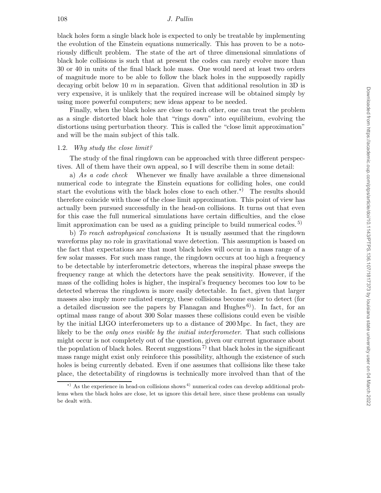black holes form a single black hole is expected to only be treatable by implementing the evolution of the Einstein equations numerically. This has proven to be a notoriously difficult problem. The state of the art of three dimensional simulations of black hole collisions is such that at present the codes can rarely evolve more than 30 or 40 in units of the final black hole mass. One would need at least two orders of magnitude more to be able to follow the black holes in the supposedly rapidly decaying orbit below 10  $m$  in separation. Given that additional resolution in 3D is very expensive, it is unlikely that the required increase will be obtained simply by using more powerful computers; new ideas appear to be needed.

Finally, when the black holes are close to each other, one can treat the problem as a single distorted black hole that "rings down" into equilibrium, evolving the distortions using perturbation theory. This is called the "close limit approximation" and will be the main subject of this talk.

## 1.2. *Why study the close limit?*

The study of the final ringdown can be approached with three different perspectives. All of them have their own appeal, so Iwill describe them in some detail:

a) *As a code check* Whenever we finally have available a three dimensional numerical code to integrate the Einstein equations for colliding holes, one could start the evolutions with the black holes close to each other.<sup>∗)</sup> The results should therefore coincide with those of the close limit approximation. This point of view has actually been pursued successfully in the head-on collisions. It turns out that even for this case the full numerical simulations have certain difficulties, and the close limit approximation can be used as a guiding principle to build numerical codes.  $5$ 

b) *To reach astrophysical conclusions* It is usually assumed that the ringdown waveforms play no role in gravitational wave detection. This assumption is based on the fact that expectations are that most black holes will occur in a mass range of a few solar masses. For such mass range, the ringdown occurs at too high a frequency to be detectable by interferometric detectors, whereas the inspiral phase sweeps the frequency range at which the detectors have the peak sensitivity. However, if the mass of the colliding holes is higher, the inspiral's frequency becomes too low to be detected whereas the ringdown is more easily detectable. In fact, given that larger masses also imply more radiated energy, these collisions become easier to detect (for a detailed discussion see the papers by Flanagan and  $\text{Hughes}^{6}$ ). In fact, for an optimal mass range of about 300 Solar masses these collisions could even be visible by the initial LIGO interferometers up to a distance of 200Mpc. In fact, they are likely to be the *only ones visible by the initial interferometer*. That such collisions might occur is not completely out of the question, given our current ignorance about the population of black holes. Recent suggestions  $^{7}$  that black holes in the significant mass range might exist only reinforce this possibility, although the existence of such holes is being currently debated. Even if one assumes that collisions like these take place, the detectability of ringdowns is technically more involved than that of the

 $*$ ) As the experience in head-on collisions shows  $\binom{4}{1}$  numerical codes can develop additional problems when the black holes are close, let us ignore this detail here, since these problems can usually be dealt with.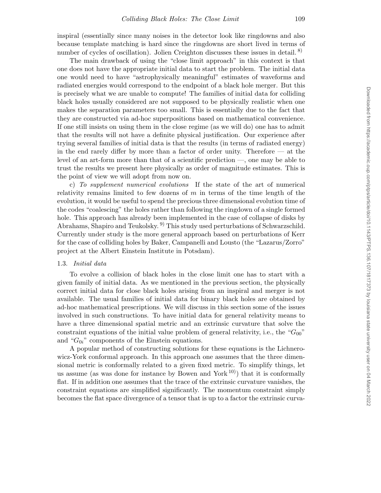inspiral (essentially since many noises in the detector look like ringdowns and also because template matching is hard since the ringdowns are short lived in terms of number of cycles of oscillation). Jolien Creighton discusses these issues in detail.<sup>8)</sup>

The main drawback of using the "close limit approach" in this context is that one does not have the appropriate initial data to start the problem. The initial data one would need to have "astrophysically meaningful" estimates of waveforms and radiated energies would correspond to the endpoint of a black hole merger. But this is precisely what we are unable to compute! The families of initial data for colliding black holes usually considered are not supposed to be physically realistic when one makes the separation parameters too small. This is essentially due to the fact that they are constructed via ad-hoc superpositions based on mathematical convenience. If one still insists on using them in the close regime (as we will do) one has to admit that the results will not have a definite physical justification. Our experience after trying several families of initial data is that the results (in terms of radiated energy) in the end rarely differ by more than a factor of order unity. Therefore — at the level of an art-form more than that of a scientific prediction —, one may be able to trust the results we present here physically as order of magnitude estimates. This is the point of view we will adopt from now on.

c) *To supplement numerical evolutions* If the state of the art of numerical relativity remains limited to few dozens of  $m$  in terms of the time length of the evolution, it would be useful to spend the precious three dimensional evolution time of the codes "coalescing" the holes rather than following the ringdown of a single formed hole. This approach has already been implemented in the case of collapse of disks by Abrahams, Shapiro and Teukolsky.<sup>9)</sup> This study used perturbations of Schwarzschild. Currently under study is the more general approach based on perturbations of Kerr for the case of colliding holes by Baker, Campanelli and Lousto (the "Lazarus/Zorro" project at the Albert Einstein Institute in Potsdam).

## 1.3. *Initial data*

To evolve a collision of black holes in the close limit one has to start with a given family of initial data. As we mentioned in the previous section, the physically correct initial data for close black holes arising from an inspiral and merger is not available. The usual families of initial data for binary black holes are obtained by ad-hoc mathematical prescriptions. We will discuss in this section some of the issues involved in such constructions. To have initial data for general relativity means to have a three dimensional spatial metric and an extrinsic curvature that solve the constraint equations of the initial value problem of general relativity, i.e., the " $G_{00}$ " and " $G_{0i}$ " components of the Einstein equations.

A popular method of constructing solutions for these equations is the Lichnerowicz-York conformal approach. In this approach one assumes that the three dimensional metric is conformally related to a given fixed metric. To simplify things, let us assume (as was done for instance by Bowen and York  $10$ ) that it is conformally flat. If in addition one assumes that the trace of the extrinsic curvature vanishes, the constraint equations are simplified significantly. The momentum constraint simply becomes the flat space divergence of a tensor that is up to a factor the extrinsic curva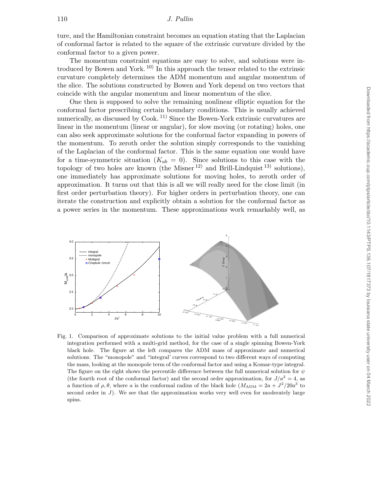ture, and the Hamiltonian constraint becomes an equation stating that the Laplacian of conformal factor is related to the square of the extrinsic curvature divided by the conformal factor to a given power.

The momentum constraint equations are easy to solve, and solutions were introduced by Bowen and York.  $10$  In this approach the tensor related to the extrinsic curvature completely determines the ADM momentum and angular momentum of the slice. The solutions constructed by Bowen and York depend on two vectors that coincide with the angular momentum and linear momentum of the slice.

One then is supposed to solve the remaining nonlinear elliptic equation for the conformal factor prescribing certain boundary conditions. This is usually achieved numerically, as discussed by Cook.<sup>11)</sup> Since the Bowen-York extrinsic curvatures are linear in the momentum (linear or angular), for slow moving (or rotating) holes, one can also seek approximate solutions for the conformal factor expanding in powers of the momentum. To zeroth order the solution simply corresponds to the vanishing of the Laplacian of the conformal factor. This is the same equation one would have for a time-symmetric situation  $(K_{ab} = 0)$ . Since solutions to this case with the topology of two holes are known (the Misner  $^{12)}$  and Brill-Lindquist  $^{13)}$  solutions), one immediately has approximate solutions for moving holes, to zeroth order of approximation. It turns out that this is all we will really need for the close limit (in first order perturbation theory). For higher orders in perturbation theory, one can iterate the construction and explicitly obtain a solution for the conformal factor as a power series in the momentum. These approximations work remarkably well, as



Fig. 1. Comparison of approximate solutions to the initial value problem with a full numerical integration performed with a multi-grid method, for the case of a single spinning Bowen-York black hole. The figure at the left compares the ADM mass of approximate and numerical solutions. The "monopole" and "integral' curves correspond to two different ways of computing the mass, looking at the monopole term of the conformal factor and using a Komar-type integral. The figure on the right shows the percentile difference between the full numerical solution for  $\psi$ (the fourth root of the conformal factor) and the second order approximation, for  $J/a^2 = 4$ , as a function of  $\rho, \theta$ , where a is the conformal radius of the black hole  $(M_{ADM} = 2a + J^2/20a^3$  to second order in  $J$ ). We see that the approximation works very well even for moderately large spins.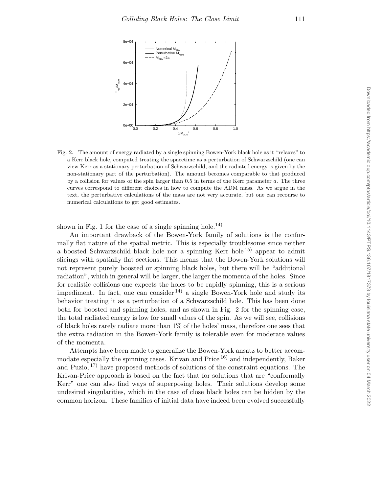

Fig. 2. The amount of energy radiated by a single spinning Bowen-York black hole as it "relaxes" to a Kerr black hole, computed treating the spacetime as a perturbation of Schwarzschild (one can view Kerr as a stationary perturbation of Schwarzschild, and the radiated energy is given by the non-stationary part of the perturbation). The amount becomes comparable to that produced by a collision for values of the spin larger than  $0.5$  in terms of the Kerr parameter a. The three curves correspond to different choices in how to compute the ADM mass. As we argue in the text, the perturbative calculations of the mass are not very accurate, but one can recourse to numerical calculations to get good estimates.

shown in Fig. 1 for the case of a single spinning hole.<sup>14)</sup>

An important drawback of the Bowen-York family of solutions is the conformally flat nature of the spatial metric. This is especially troublesome since neither a boosted Schwarzschild black hole nor a spinning Kerr hole<sup>15)</sup> appear to admit slicings with spatially flat sections. This means that the Bowen-York solutions will not represent purely boosted or spinning black holes, but there will be "additional radiation", which in general will be larger, the larger the momenta of the holes. Since for realistic collisions one expects the holes to be rapidly spinning, this is a serious impediment. In fact, one can consider  $(14)$  a single Bowen-York hole and study its behavior treating it as a perturbation of a Schwarzschild hole. This has been done both for boosted and spinning holes, and as shown in Fig. 2 for the spinning case, the total radiated energy is low for small values of the spin. As we will see, collisions of black holes rarely radiate more than 1% of the holes' mass, therefore one sees that the extra radiation in the Bowen-York family is tolerable even for moderate values of the momenta.

Attempts have been made to generalize the Bowen-York ansatz to better accommodate especially the spinning cases. Krivan and  $\text{Price}^{16}$  and independently, Baker and Puzio,  $17$  have proposed methods of solutions of the constraint equations. The Krivan-Price approach is based on the fact that for solutions that are "conformally Kerr" one can also find ways of superposing holes. Their solutions develop some undesired singularities, which in the case of close black holes can be hidden by the common horizon. These families of initial data have indeed been evolved successfully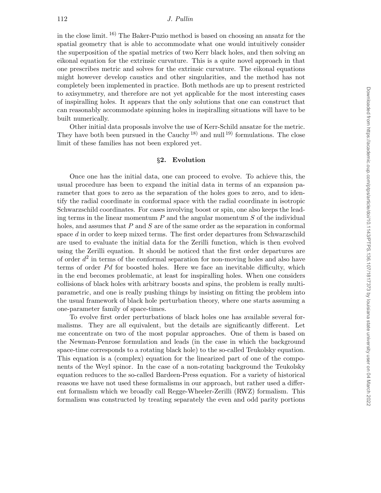in the close limit. 16) The Baker-Puzio method is based on choosing an ansatz for the spatial geometry that is able to accommodate what one would intuitively consider the superposition of the spatial metrics of two Kerr black holes, and then solving an eikonal equation for the extrinsic curvature. This is a quite novel approach in that one prescribes metric and solves for the extrinsic curvature. The eikonal equations might however develop caustics and other singularities, and the method has not completely been implemented in practice. Both methods are up to present restricted to axisymmetry, and therefore are not yet applicable for the most interesting cases of inspiralling holes. It appears that the only solutions that one can construct that can reasonably accommodate spinning holes in inspiralling situations will have to be built numerically.

Other initial data proposals involve the use of Kerr-Schild ansatze for the metric. They have both been pursued in the Cauchy<sup>18)</sup> and null<sup>19)</sup> formulations. The close limit of these families has not been explored yet.

#### *§***2. Evolution**

Once one has the initial data, one can proceed to evolve. To achieve this, the usual procedure has been to expand the initial data in terms of an expansion parameter that goes to zero as the separation of the holes goes to zero, and to identify the radial coordinate in conformal space with the radial coordinate in isotropic Schwarzschild coordinates. For cases involving boost or spin, one also keeps the leading terms in the linear momentum  $P$  and the angular momentum  $S$  of the individual holes, and assumes that P and S are of the same order as the separation in conformal space d in order to keep mixed terms. The first order departures from Schwarzschild are used to evaluate the initial data for the Zerilli function, which is then evolved using the Zerilli equation. It should be noticed that the first order departures are of order  $d^2$  in terms of the conformal separation for non-moving holes and also have terms of order  $Pd$  for boosted holes. Here we face an inevitable difficulty, which in the end becomes problematic, at least for inspiralling holes. When one considers collisions of black holes with arbitrary boosts and spins, the problem is really multiparametric, and one is really pushing things by insisting on fitting the problem into the usual framework of black hole perturbation theory, where one starts assuming a one-parameter family of space-times.

To evolve first order perturbations of black holes one has available several formalisms. They are all equivalent, but the details are significantly different. Let me concentrate on two of the most popular approaches. One of them is based on the Newman-Penrose formulation and leads (in the case in which the background space-time corresponds to a rotating black hole) to the so-called Teukolsky equation. This equation is a (complex) equation for the linearized part of one of the components of the Weyl spinor. In the case of a non-rotating background the Teukolsky equation reduces to the so-called Bardeen-Press equation. For a variety of historical reasons we have not used these formalisms in our approach, but rather used a different formalism which we broadly call Regge-Wheeler-Zerilli (RWZ) formalism. This formalism was constructed by treating separately the even and odd parity portions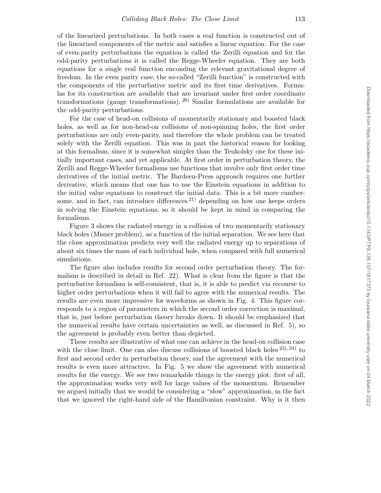of the linearized perturbations. In both cases a real function is constructed out of the linearized components of the metric and satisfies a linear equation. For the case of even-parity perturbations the equation is called the Zerilli equation and for the odd-parity perturbations it is called the Regge-Wheeler equation. They are both equations for a single real function enconding the relevant gravitational degree of freedom. In the even parity case, the so-called "Zerilli function" is constructed with the components of the perturbative metric and its first time derivatives. Formulas for its construction are available that are invariant under first order coordinate transformations (gauge transformations).  $^{20}$  Similar formulations are available for the odd-parity perturbations.

For the case of head-on collisions of momentarily stationary and boosted black holes, as well as for non-head-on collisions of non-spinning holes, the first order perturbations are only even-parity, and therefore the whole problem can be treated solely with the Zerilli equation. This was in part the historical reason for looking at this formalism, since it is somewhat simpler than the Teukolsky one for these initially important cases, and yet applicable. At first order in perturbation theory, the Zerilli and Regge-Wheeler formalisms use functions that involve only first order time derivatives of the initial metric. The Bardeen-Press approach requires one further derivative, which means that one has to use the Einstein equations in addition to the initial value equations to construct the initial data. This is a bit more cumbersome, and in fact, can introduce differences  $^{21}$  depending on how one keeps orders in solving the Einstein equations, so it should be kept in mind in comparing the formalisms.

Figure 3 shows the radiated energy in a collision of two momentarily stationary black holes (Misner problem), as a function of the initial separation. We see here that the close approximation predicts very well the radiated energy up to separations of about six times the mass of each individual hole, when compared with full numerical simulations.

The figure also includes results for second order perturbation theory. The formalism is described in detail in Ref. 22). What is clear from the figure is that the perturbative formalism is self-consistent, that is, it is able to predict via recourse to higher order perturbations when it will fail to agree with the numerical results. The results are even more impressive for waveforms as shown in Fig. 4. This figure corresponds to a region of parameters in which the second order correction is maximal, that is, just before perturbation theory breaks down. It should be emphasized that the numerical results have certain uncertainties as well, as discussed in Ref. 5), so the agreement is probably even better than depicted.

These results are illustrative of what one can achieve in the head-on collision case with the close limit. One can also discuss collisions of boosted black holes  $2^{23}$ ,  $2^{4}$  to first and second order in perturbation theory, and the agreement with the numerical results is even more attractive. In Fig. 5 we show the agreement with numerical results for the energy. We see two remarkable things in the energy plot: first of all, the approximation works very well for large values of the momentum. Remember we argued initially that we would be considering a "slow" approximation, in the fact that we ignored the right-hand side of the Hamiltonian constraint. Why is it then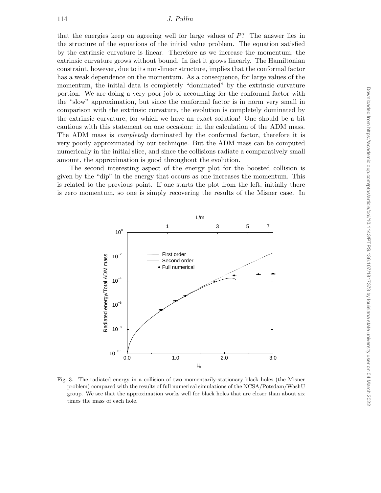that the energies keep on agreeing well for large values of  $P$ ? The answer lies in the structure of the equations of the initial value problem. The equation satisfied by the extrinsic curvature is linear. Therefore as we increase the momentum, the extrinsic curvature grows without bound. In fact it grows linearly. The Hamiltonian constraint, however, due to its non-linear structure, implies that the conformal factor has a weak dependence on the momentum. As a consequence, for large values of the momentum, the initial data is completely "dominated" by the extrinsic curvature portion. We are doing a very poor job of accounting for the conformal factor with the "slow" approximation, but since the conformal factor is in norm very small in comparison with the extrinsic curvature, the evolution is completely dominated by the extrinsic curvature, for which we have an exact solution! One should be a bit cautious with this statement on one occasion: in the calculation of the ADM mass. The ADM mass is *completely* dominated by the conformal factor, therefore it is very poorly approximated by our technique. But the ADM mass can be computed numerically in the initial slice, and since the collisions radiate a comparatively small amount, the approximation is good throughout the evolution.

The second interesting aspect of the energy plot for the boosted collision is given by the "dip" in the energy that occurs as one increases the momentum. This is related to the previous point. If one starts the plot from the left, initially there is zero momentum, so one is simply recovering the results of the Misner case. In



Fig. 3. The radiated energy in a collision of two momentarily-stationary black holes (the Misner problem) compared with the results of full numerical simulations of the NCSA/Potsdam/WashU group. We see that the approximation works well for black holes that are closer than about six times the mass of each hole.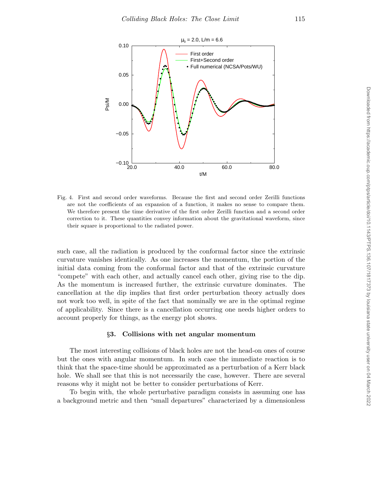

Fig. 4. First and second order waveforms. Because the first and second order Zerilli functions are not the coefficients of an expansion of a function, it makes no sense to compare them. We therefore present the time derivative of the first order Zerilli function and a second order correction to it. These quantities convey information about the gravitational waveform, since their square is proportional to the radiated power.

such case, all the radiation is produced by the conformal factor since the extrinsic curvature vanishes identically. As one increases the momentum, the portion of the initial data coming from the conformal factor and that of the extrinsic curvature "compete" with each other, and actually cancel each other, giving rise to the dip. As the momentum is increased further, the extrinsic curvature dominates. The cancellation at the dip implies that first order perturbation theory actually does not work too well, in spite of the fact that nominally we are in the optimal regime of applicability. Since there is a cancellation occurring one needs higher orders to account properly for things, as the energy plot shows.

### *§***3. Collisions with net angular momentum**

The most interesting collisions of black holes are not the head-on ones of course but the ones with angular momentum. In such case the immediate reaction is to think that the space-time should be approximated as a perturbation of a Kerr black hole. We shall see that this is not necessarily the case, however. There are several reasons why it might not be better to consider perturbations of Kerr.

To begin with, the whole perturbative paradigm consists in assuming one has a background metric and then "small departures" characterized by a dimensionless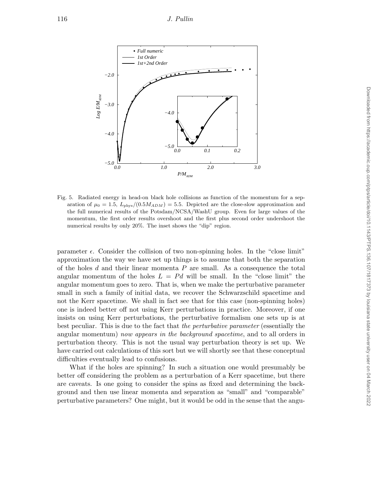116 *J. Pullin*



Fig. 5. Radiated energy in head-on black hole collisions as function of the momentum for a separation of  $\mu_0 = 1.5$ ,  $L_{\text{phys}}/(0.5M_{ADM}) = 5.5$ . Depicted are the close-slow approximation and the full numerical results of the Potsdam/NCSA/WashU group. Even for large values of the momentum, the first order results overshoot and the first plus second order undershoot the numerical results by only 20%. The inset shows the "dip" region.

parameter  $\epsilon$ . Consider the collision of two non-spinning holes. In the "close limit" approximation the way we have set up things is to assume that both the separation of the holes  $d$  and their linear momenta  $P$  are small. As a consequence the total angular momentum of the holes  $L = Pd$  will be small. In the "close limit" the angular momentum goes to zero. That is, when we make the perturbative parameter small in such a family of initial data, we recover the Schwarzschild spacetime and not the Kerr spacetime. We shall in fact see that for this case (non-spinning holes) one is indeed better off not using Kerr perturbations in practice. Moreover, if one insists on using Kerr perturbations, the perturbative formalism one sets up is at best peculiar. This is due to the fact that *the perturbative parameter* (essentially the angular momentum) *now appears in the background spacetime*, and to all orders in perturbation theory. This is not the usual way perturbation theory is set up. We have carried out calculations of this sort but we will shortly see that these conceptual difficulties eventually lead to confusions.

What if the holes are spinning? In such a situation one would presumably be better off considering the problem as a perturbation of a Kerr spacetime, but there are caveats. Is one going to consider the spins as fixed and determining the background and then use linear momenta and separation as "small" and "comparable" perturbative parameters? One might, but it would be odd in the sense that the angu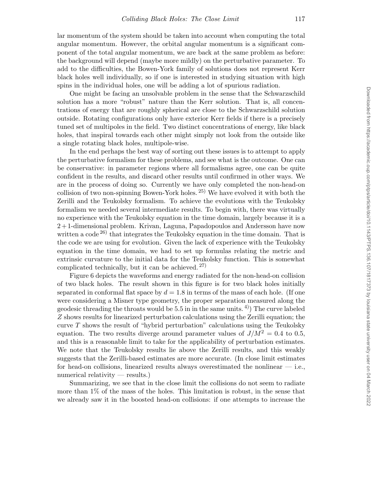lar momentum of the system should be taken into account when computing the total angular momentum. However, the orbital angular momentum is a significant component of the total angular momentum, we are back at the same problem as before: the background will depend (maybe more mildly) on the perturbative parameter. To add to the difficulties, the Bowen-York family of solutions does not represent Kerr black holes well individually, so if one is interested in studying situation with high spins in the individual holes, one will be adding a lot of spurious radiation.

One might be facing an unsolvable problem in the sense that the Schwarzschild solution has a more "robust" nature than the Kerr solution. That is, all concentrations of energy that are roughly spherical are close to the Schwarzschild solution outside. Rotating configurations only have exterior Kerr fields if there is a precisely tuned set of multipoles in the field. Two distinct concentrations of energy, like black holes, that inspiral towards each other might simply not look from the outside like a single rotating black holes, multipole-wise.

In the end perhaps the best way of sorting out these issues is to attempt to apply the perturbative formalism for these problems, and see what is the outcome. One can be conservative: in parameter regions where all formalisms agree, one can be quite confident in the results, and discard other results until confirmed in other ways. We are in the process of doing so. Currently we have only completed the non-head-on collision of two non-spinning Bowen-York holes. 25) We have evolved it with both the Zerilli and the Teukolsky formalism. To achieve the evolutions with the Teukolsky formalism we needed several intermediate results. To begin with, there was virtually no experience with the Teukolsky equation in the time domain, largely because it is a 2 + 1-dimensional problem. Krivan, Laguna, Papadopoulos and Andersson have now written a code<sup>26)</sup> that integrates the Teukolsky equation in the time domain. That is the code we are using for evolution. Given the lack of experience with the Teukolsky equation in the time domain, we had to set up formulas relating the metric and extrinsic curvature to the initial data for the Teukolsky function. This is somewhat complicated technically, but it can be achieved.  $27$ 

Figure 6 depicts the waveforms and energy radiated for the non-head-on collision of two black holes. The result shown in this figure is for two black holes initially separated in conformal flat space by  $d = 1.8$  in terms of the mass of each hole. (If one were considering a Misner type geometry, the proper separation measured along the geodesic threading the throats would be 5.5 in in the same units.  $\binom{4}{1}$  The curve labeled Z shows results for linearized perturbation calculations using the Zerilli equation; the curve  $T$  shows the result of "hybrid perturbation" calculations using the Teukolsky equation. The two results diverge around parameter values of  $J/M^2 = 0.4$  to 0.5, and this is a reasonable limit to take for the applicability of perturbation estimates. We note that the Teukolsky results lie above the Zerilli results, and this weakly suggests that the Zerilli-based estimates are more accurate. (In close limit estimates for head-on collisions, linearized results always overestimated the nonlinear — i.e., numerical relativity — results.)

Summarizing, we see that in the close limit the collisions do not seem to radiate more than 1% of the mass of the holes. This limitation is robust, in the sense that we already saw it in the boosted head-on collisions: if one attempts to increase the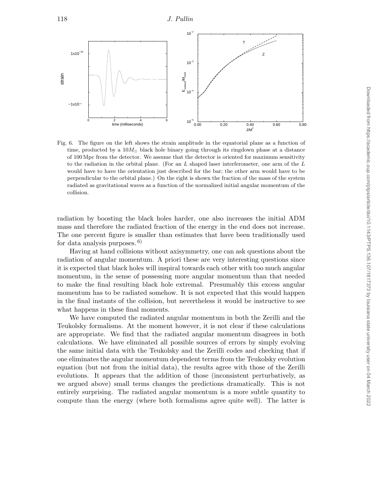

Fig. 6. The figure on the left shows the strain amplitude in the equatorial plane as a function of time, producted by a  $10M_{\odot}$  black hole binary going through its ringdown phase at a distance of 100 Mpc from the detector. We assume that the detector is oriented for maximum sensitivity to the radiation in the orbital plane. (For an  $L$  shaped laser interferometer, one arm of the  $L$ would have to have the orientation just described for the bar; the other arm would have to be perpendicular to the orbital plane.) On the right is shown the fraction of the mass of the system radiated as gravitational waves as a function of the normalized initial angular momentum of the collision.

radiation by boosting the black holes harder, one also increases the initial ADM mass and therefore the radiated fraction of the energy in the end does not increase. The one percent figure is smaller than estimates that have been traditionally used for data analysis purposes.  $^{6)}$ 

Having at hand collisions without axisymmetry, one can ask questions about the radiation of angular momentum. A priori these are very interesting questions since it is expected that black holes will inspiral towards each other with too much angular momentum, in the sense of possessing more angular momentum than that needed to make the final resulting black hole extremal. Presumably this excess angular momentum has to be radiated somehow. It is not expected that this would happen in the final instants of the collision, but nevertheless it would be instructive to see what happens in these final moments.

We have computed the radiated angular momentum in both the Zerilli and the Teukolsky formalisms. At the moment however, it is not clear if these calculations are appropriate. We find that the radiated angular momentum disagrees in both calculations. We have eliminated all possible sources of errors by simply evolving the same initial data with the Teukolsky and the Zerilli codes and checking that if one eliminates the angular momentum dependent terms from the Teukolsky evolution equation (but not from the initial data), the results agree with those of the Zerilli evolutions. It appears that the addition of those (inconsistent perturbatively, as we argued above) small terms changes the predictions dramatically. This is not entirely surprising. The radiated angular momentum is a more subtle quantity to compute than the energy (where both formalisms agree quite well). The latter is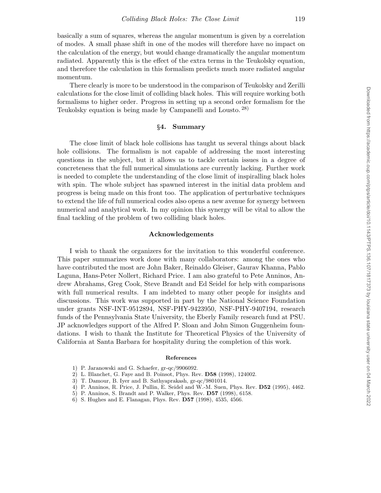basically a sum of squares, whereas the angular momentum is given by a correlation of modes. A small phase shift in one of the modes will therefore have no impact on the calculation of the energy, but would change dramatically the angular momentum radiated. Apparently this is the effect of the extra terms in the Teukolsky equation, and therefore the calculation in this formalism predicts much more radiated angular momentum.

There clearly is more to be understood in the comparison of Teukolsky and Zerilli calculations for the close limit of colliding black holes. This will require working both formalisms to higher order. Progress in setting up a second order formalism for the Teukolsky equation is being made by Campanelli and Lousto. 28)

## *§***4. Summary**

The close limit of black hole collisions has taught us several things about black hole collisions. The formalism is not capable of addressing the most interesting questions in the subject, but it allows us to tackle certain issues in a degree of concreteness that the full numerical simulations are currently lacking. Further work is needed to complete the understanding of the close limit of inspiralling black holes with spin. The whole subject has spawned interest in the initial data problem and progress is being made on this front too. The application of perturbative techniques to extend the life of full numerical codes also opens a new avenue for synergy between numerical and analytical work. In my opinion this synergy will be vital to allow the final tackling of the problem of two colliding black holes.

## **Acknowledgements**

I wish to thank the organizers for the invitation to this wonderful conference. This paper summarizes work done with many collaborators: among the ones who have contributed the most are John Baker, Reinaldo Gleiser, Gaurav Khanna, Pablo Laguna, Hans-Peter Nollert, Richard Price. Iam also grateful to Pete Anninos, Andrew Abrahams, Greg Cook, Steve Brandt and Ed Seidel for help with comparisons with full numerical results. I am indebted to many other people for insights and discussions. This work was supported in part by the National Science Foundation under grants NSF-INT-9512894, NSF-PHY-9423950, NSF-PHY-9407194, research funds of the Pennsylvania State University, the Eberly Family research fund at PSU. JP acknowledges support of the Alfred P. Sloan and John Simon Guggenheim foundations. I wish to thank the Institute for Theoretical Physics of the University of California at Santa Barbara for hospitality during the completion of this work.

#### **References**

- 1) P. Jaranowski and G. Schaefer, gr-qc/9906092.
- 2) L. Blanchet, G. Faye and B. Poinsot, Phys. Rev. **D58** (1998), 124002.
- 3) T. Damour, B. Iyer and B. Sathyaprakash, gr-qc/9801014.
- 4) P. Anninos, R. Price, J. Pullin, E. Seidel and W.-M. Suen, Phys. Rev. **D52** (1995), 4462.
- 5) P. Anninos, S. Brandt and P. Walker, Phys. Rev. **D57** (1998), 6158.
- 6) S. Hughes and E. Flanagan, Phys. Rev. **D57** (1998), 4535, 4566.